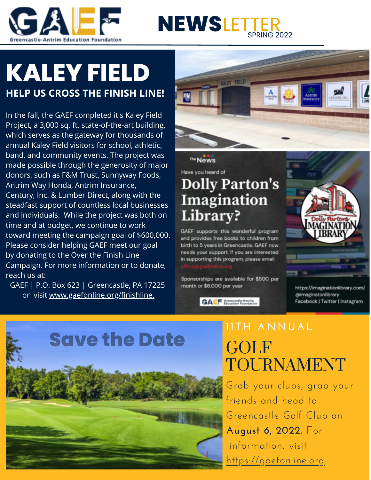

## **NEWS**LETTER SPRING 2022

## **KALEY FIELD HELP US CROSS THE FINISH LINE!**

In the fall, the GAEF completed it's Kaley Field Project, a 3,000 sq. ft. state-of-the-art building, which serves as the gateway for thousands of annual Kaley Field visitors for school, athletic, band, and community events. The project was made possible through the generosity of major donors, such as F&M Trust, Sunnyway Foods, Antrim Way Honda, Antrim Insurance, Century, Inc. & Lumber Direct, along with the steadfast support of countless local businesses and individuals. While the project was both on time and at budget, we continue to work toward meeting the campaign goal of \$600,000. Please consider helping GAEF meet our goal by donating to the Over the Finish Line Campaign. For more information or to donate, reach us at:

GAEF | P.O. Box 623 | Greencastle, PA 17225 or visit [www.gaefonline.org/finishline.](https://gaefonline.org/finishline)



The News

Have you heard of

## **Dolly Parton's Imagination** Library?

GAEF supports this wonderful program and provides free books to children from birth to 5 years in Greencastle. GAEF now needs your support. If you are interested in supporting this program, please email

Sponsorships are available for \$500 per month or \$6,000 per year

**GAEF** Strencastle-Antrim



https://imaginationlibrary.com/ @imaginatonlibrary Facebook | Twitter | Instagram



## GOLF TOURNAMENT **1 1TH A NN U AL**

Grab your clubs, grab your friends and head to Greencastle Golf Club on **August 6, 2022.** For information, visit [https://gaefonline.org](https://gaefonline.org/)